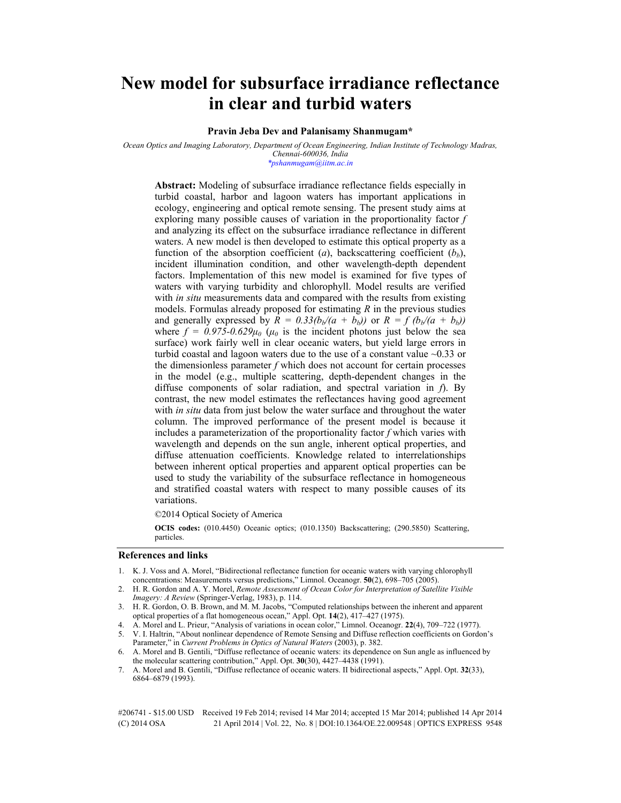# **New model for subsurface irradiance reflectance in clear and turbid waters**

**Pravin Jeba Dev and Palanisamy Shanmugam\*** 

*Ocean Optics and Imaging Laboratory, Department of Ocean Engineering, Indian Institute of Technology Madras, Chennai-600036, India* 

*\*pshanmugam@iitm.ac.in* 

**Abstract:** Modeling of subsurface irradiance reflectance fields especially in turbid coastal, harbor and lagoon waters has important applications in ecology, engineering and optical remote sensing. The present study aims at exploring many possible causes of variation in the proportionality factor *f* and analyzing its effect on the subsurface irradiance reflectance in different waters. A new model is then developed to estimate this optical property as a function of the absorption coefficient  $(a)$ , backscattering coefficient  $(b<sub>b</sub>)$ , incident illumination condition, and other wavelength-depth dependent factors. Implementation of this new model is examined for five types of waters with varying turbidity and chlorophyll. Model results are verified with *in situ* measurements data and compared with the results from existing models. Formulas already proposed for estimating *R* in the previous studies and generally expressed by  $R = 0.33(b_b/(a + b_b))$  or  $R = f (b_b/(a + b_b))$ where  $f = 0.975 - 0.629\mu_0$  ( $\mu_0$  is the incident photons just below the sea surface) work fairly well in clear oceanic waters, but yield large errors in turbid coastal and lagoon waters due to the use of a constant value  $\sim 0.33$  or the dimensionless parameter *f* which does not account for certain processes in the model (e.g., multiple scattering, depth-dependent changes in the diffuse components of solar radiation, and spectral variation in *f*). By contrast, the new model estimates the reflectances having good agreement with *in situ* data from just below the water surface and throughout the water column. The improved performance of the present model is because it includes a parameterization of the proportionality factor *f* which varies with wavelength and depends on the sun angle, inherent optical properties, and diffuse attenuation coefficients. Knowledge related to interrelationships between inherent optical properties and apparent optical properties can be used to study the variability of the subsurface reflectance in homogeneous and stratified coastal waters with respect to many possible causes of its variations.

©2014 Optical Society of America

**OCIS codes:** (010.4450) Oceanic optics; (010.1350) Backscattering; (290.5850) Scattering, particles.

# **References and links**

- 1. K. J. Voss and A. Morel, "Bidirectional reflectance function for oceanic waters with varying chlorophyll concentrations: Measurements versus predictions," Limnol. Oceanogr. **50**(2), 698–705 (2005).
- 2. H. R. Gordon and A. Y. Morel, *Remote Assessment of Ocean Color for Interpretation of Satellite Visible Imagery: A Review* (Springer-Verlag, 1983), p. 114.
- 3. H. R. Gordon, O. B. Brown, and M. M. Jacobs, "Computed relationships between the inherent and apparent optical properties of a flat homogeneous ocean," Appl. Opt. **14**(2), 417–427 (1975).
- 4. A. Morel and L. Prieur, "Analysis of variations in ocean color," Limnol. Oceanogr. **22**(4), 709–722 (1977).
- 5. V. I. Haltrin, "About nonlinear dependence of Remote Sensing and Diffuse reflection coefficients on Gordon's Parameter," in *Current Problems in Optics of Natural Waters* (2003), p. 382.
- 6. A. Morel and B. Gentili, "Diffuse reflectance of oceanic waters: its dependence on Sun angle as influenced by the molecular scattering contribution," Appl. Opt. **30**(30), 4427–4438 (1991).
- 7. A. Morel and B. Gentili, "Diffuse reflectance of oceanic waters. II bidirectional aspects," Appl. Opt. **32**(33), 6864–6879 (1993).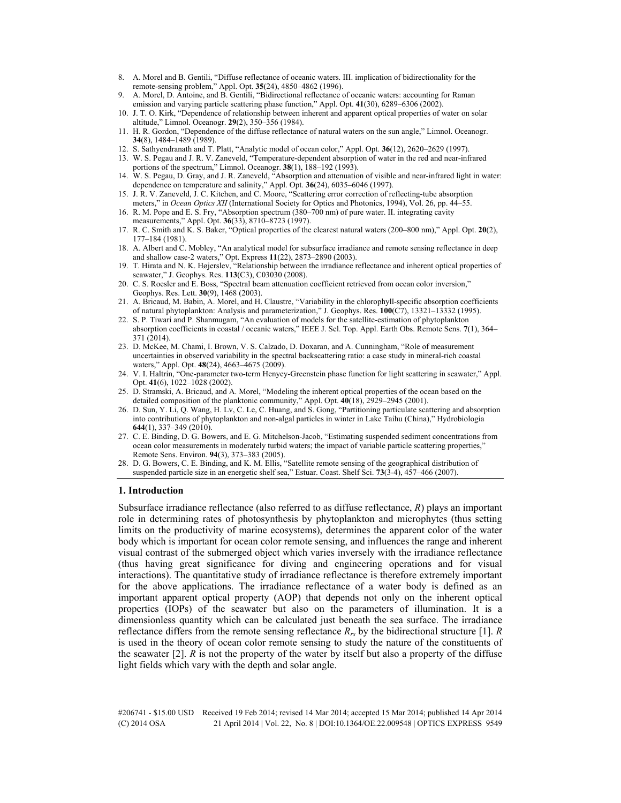- 8. A. Morel and B. Gentili, "Diffuse reflectance of oceanic waters. III. implication of bidirectionality for the remote-sensing problem," Appl. Opt. **35**(24), 4850–4862 (1996).
- 9. A. Morel, D. Antoine, and B. Gentili, "Bidirectional reflectance of oceanic waters: accounting for Raman emission and varying particle scattering phase function," Appl. Opt. **41**(30), 6289–6306 (2002).
- 10. J. T. O. Kirk, "Dependence of relationship between inherent and apparent optical properties of water on solar altitude," Limnol. Oceanogr. **29**(2), 350–356 (1984).
- 11. H. R. Gordon, "Dependence of the diffuse reflectance of natural waters on the sun angle," Limnol. Oceanogr. **34**(8), 1484–1489 (1989).
- 12. S. Sathyendranath and T. Platt, "Analytic model of ocean color," Appl. Opt. **36**(12), 2620–2629 (1997).
- 13. W. S. Pegau and J. R. V. Zaneveld, "Temperature-dependent absorption of water in the red and near-infrared portions of the spectrum," Limnol. Oceanogr. **38**(1), 188–192 (1993).
- 14. W. S. Pegau, D. Gray, and J. R. Zaneveld, "Absorption and attenuation of visible and near-infrared light in water: dependence on temperature and salinity," Appl. Opt. **36**(24), 6035–6046 (1997).
- 15. J. R. V. Zaneveld, J. C. Kitchen, and C. Moore, "Scattering error correction of reflecting-tube absorption meters," in *Ocean Optics XII* (International Society for Optics and Photonics, 1994), Vol. 26, pp. 44–55.
- 16. R. M. Pope and E. S. Fry, "Absorption spectrum (380–700 nm) of pure water. II. integrating cavity measurements," Appl. Opt. **36**(33), 8710–8723 (1997).
- 17. R. C. Smith and K. S. Baker, "Optical properties of the clearest natural waters (200–800 nm)," Appl. Opt. **20**(2), 177–184 (1981).
- 18. A. Albert and C. Mobley, "An analytical model for subsurface irradiance and remote sensing reflectance in deep and shallow case-2 waters," Opt. Express **11**(22), 2873–2890 (2003).
- 19. T. Hirata and N. K. Højerslev, "Relationship between the irradiance reflectance and inherent optical properties of seawater," J. Geophys. Res. **113**(C3), C03030 (2008).
- 20. C. S. Roesler and E. Boss, "Spectral beam attenuation coefficient retrieved from ocean color inversion," Geophys. Res. Lett. **30**(9), 1468 (2003).
- 21. A. Bricaud, M. Babin, A. Morel, and H. Claustre, "Variability in the chlorophyll-specific absorption coefficients of natural phytoplankton: Analysis and parameterization," J. Geophys. Res. **100**(C7), 13321–13332 (1995).
- 22. S. P. Tiwari and P. Shanmugam, "An evaluation of models for the satellite-estimation of phytoplankton absorption coefficients in coastal / oceanic waters," IEEE J. Sel. Top. Appl. Earth Obs. Remote Sens. **7**(1), 364– 371 (2014).
- 23. D. McKee, M. Chami, I. Brown, V. S. Calzado, D. Doxaran, and A. Cunningham, "Role of measurement uncertainties in observed variability in the spectral backscattering ratio: a case study in mineral-rich coastal waters," Appl. Opt. **48**(24), 4663–4675 (2009).
- 24. V. I. Haltrin, "One-parameter two-term Henyey-Greenstein phase function for light scattering in seawater," Appl. Opt. **41**(6), 1022–1028 (2002).
- 25. D. Stramski, A. Bricaud, and A. Morel, "Modeling the inherent optical properties of the ocean based on the detailed composition of the planktonic community," Appl. Opt. **40**(18), 2929–2945 (2001).
- 26. D. Sun, Y. Li, Q. Wang, H. Lv, C. Le, C. Huang, and S. Gong, "Partitioning particulate scattering and absorption into contributions of phytoplankton and non-algal particles in winter in Lake Taihu (China)," Hydrobiologia **644**(1), 337–349 (2010).
- 27. C. E. Binding, D. G. Bowers, and E. G. Mitchelson-Jacob, "Estimating suspended sediment concentrations from ocean color measurements in moderately turbid waters; the impact of variable particle scattering properties," Remote Sens. Environ. **94**(3), 373–383 (2005).
- 28. D. G. Bowers, C. E. Binding, and K. M. Ellis, "Satellite remote sensing of the geographical distribution of suspended particle size in an energetic shelf sea," Estuar. Coast. Shelf Sci. **73**(3-4), 457–466 (2007).

### **1. Introduction**

Subsurface irradiance reflectance (also referred to as diffuse reflectance, *R*) plays an important role in determining rates of photosynthesis by phytoplankton and microphytes (thus setting limits on the productivity of marine ecosystems), determines the apparent color of the water body which is important for ocean color remote sensing, and influences the range and inherent visual contrast of the submerged object which varies inversely with the irradiance reflectance (thus having great significance for diving and engineering operations and for visual interactions). The quantitative study of irradiance reflectance is therefore extremely important for the above applications. The irradiance reflectance of a water body is defined as an important apparent optical property (AOP) that depends not only on the inherent optical properties (IOPs) of the seawater but also on the parameters of illumination. It is a dimensionless quantity which can be calculated just beneath the sea surface. The irradiance reflectance differs from the remote sensing reflectance  $R_{rs}$  by the bidirectional structure [1]. *R* is used in the theory of ocean color remote sensing to study the nature of the constituents of the seawater [2]. *R* is not the property of the water by itself but also a property of the diffuse light fields which vary with the depth and solar angle.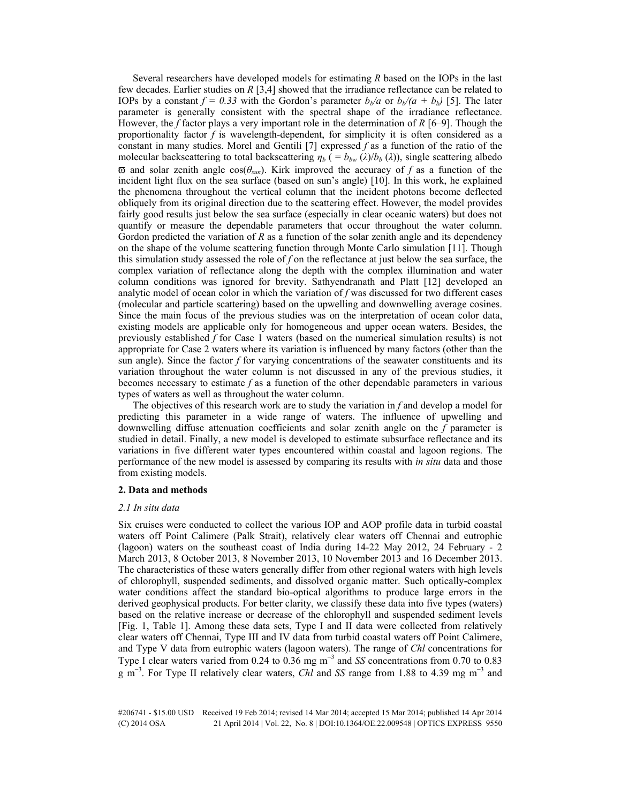Several researchers have developed models for estimating *R* based on the IOPs in the last few decades. Earlier studies on *R* [3,4] showed that the irradiance reflectance can be related to IOPs by a constant  $f = 0.33$  with the Gordon's parameter  $b_b/a$  or  $b_b/(a + b_b)$  [5]. The later parameter is generally consistent with the spectral shape of the irradiance reflectance. However, the *f* factor plays a very important role in the determination of *R* [6–9]. Though the proportionality factor  $f$  is wavelength-dependent, for simplicity it is often considered as a constant in many studies. Morel and Gentili [7] expressed *f* as a function of the ratio of the molecular backscattering to total backscattering  $\eta_b$  ( $= b_{bw}(\lambda)/b_b(\lambda)$ ), single scattering albedo ϖ and solar zenith angle cos(*θsun*). Kirk improved the accuracy of *f* as a function of the incident light flux on the sea surface (based on sun's angle) [10]. In this work, he explained the phenomena throughout the vertical column that the incident photons become deflected obliquely from its original direction due to the scattering effect. However, the model provides fairly good results just below the sea surface (especially in clear oceanic waters) but does not quantify or measure the dependable parameters that occur throughout the water column. Gordon predicted the variation of *R* as a function of the solar zenith angle and its dependency on the shape of the volume scattering function through Monte Carlo simulation [11]. Though this simulation study assessed the role of *f* on the reflectance at just below the sea surface, the complex variation of reflectance along the depth with the complex illumination and water column conditions was ignored for brevity. Sathyendranath and Platt [12] developed an analytic model of ocean color in which the variation of *f* was discussed for two different cases (molecular and particle scattering) based on the upwelling and downwelling average cosines. Since the main focus of the previous studies was on the interpretation of ocean color data, existing models are applicable only for homogeneous and upper ocean waters. Besides, the previously established *f* for Case 1 waters (based on the numerical simulation results) is not appropriate for Case 2 waters where its variation is influenced by many factors (other than the sun angle). Since the factor *f* for varying concentrations of the seawater constituents and its variation throughout the water column is not discussed in any of the previous studies, it becomes necessary to estimate *f* as a function of the other dependable parameters in various types of waters as well as throughout the water column.

The objectives of this research work are to study the variation in *f* and develop a model for predicting this parameter in a wide range of waters. The influence of upwelling and downwelling diffuse attenuation coefficients and solar zenith angle on the *f* parameter is studied in detail. Finally, a new model is developed to estimate subsurface reflectance and its variations in five different water types encountered within coastal and lagoon regions. The performance of the new model is assessed by comparing its results with *in situ* data and those from existing models.

### **2. Data and methods**

#### *2.1 In situ data*

Six cruises were conducted to collect the various IOP and AOP profile data in turbid coastal waters off Point Calimere (Palk Strait), relatively clear waters off Chennai and eutrophic (lagoon) waters on the southeast coast of India during 14-22 May 2012, 24 February - 2 March 2013, 8 October 2013, 8 November 2013, 10 November 2013 and 16 December 2013. The characteristics of these waters generally differ from other regional waters with high levels of chlorophyll, suspended sediments, and dissolved organic matter. Such optically-complex water conditions affect the standard bio-optical algorithms to produce large errors in the derived geophysical products. For better clarity, we classify these data into five types (waters) based on the relative increase or decrease of the chlorophyll and suspended sediment levels [Fig. 1, Table 1]. Among these data sets, Type I and II data were collected from relatively clear waters off Chennai, Type III and IV data from turbid coastal waters off Point Calimere, and Type V data from eutrophic waters (lagoon waters). The range of *Chl* concentrations for Type I clear waters varied from 0.24 to 0.36 mg m<sup>−</sup><sup>3</sup> and *SS* concentrations from 0.70 to 0.83 g m<sup>-3</sup>. For Type II relatively clear waters, *Chl* and *SS* range from 1.88 to 4.39 mg m<sup>-3</sup> and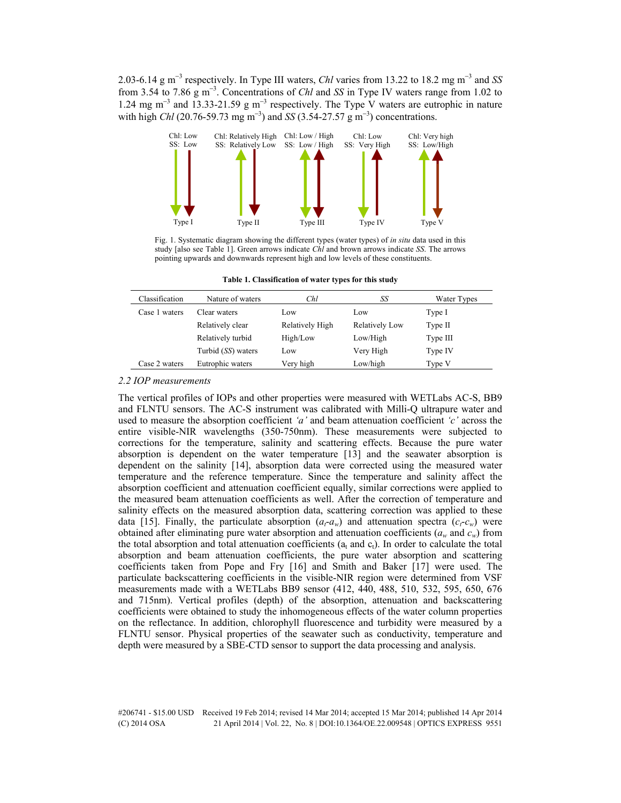2.03-6.14 g m<sup>−</sup><sup>3</sup> respectively. In Type III waters, *Chl* varies from 13.22 to 18.2 mg m<sup>−</sup><sup>3</sup> and *SS* from 3.54 to 7.86 g m<sup>−</sup><sup>3</sup> . Concentrations of *Chl* and *SS* in Type IV waters range from 1.02 to 1.24 mg m<sup>-3</sup> and 13.33-21.59 g m<sup>-3</sup> respectively. The Type V waters are eutrophic in nature with high *Chl* (20.76-59.73 mg m<sup>-3</sup>) and *SS* (3.54-27.57 g m<sup>-3</sup>) concentrations.



Fig. 1. Systematic diagram showing the different types (water types) of *in situ* data used in this study [also see Table 1]. Green arrows indicate *Chl* and brown arrows indicate *SS*. The arrows pointing upwards and downwards represent high and low levels of these constituents.

**Table 1. Classification of water types for this study** 

| Classification | Nature of waters   | Chl             | SS             | Water Types |
|----------------|--------------------|-----------------|----------------|-------------|
| Case 1 waters  | Clear waters       | Low             | Low            | Type I      |
|                | Relatively clear   | Relatively High | Relatively Low | Type II     |
|                | Relatively turbid  | High/Low        | Low/High       | Type III    |
|                | Turbid (SS) waters | Low             | Very High      | Type IV     |
| Case 2 waters  | Eutrophic waters   | Very high       | Low/high       | Type V      |

#### *2.2 IOP measurements*

The vertical profiles of IOPs and other properties were measured with WETLabs AC-S, BB9 and FLNTU sensors. The AC-S instrument was calibrated with Milli-Q ultrapure water and used to measure the absorption coefficient *'a'* and beam attenuation coefficient *'c'* across the entire visible-NIR wavelengths (350-750nm). These measurements were subjected to corrections for the temperature, salinity and scattering effects. Because the pure water absorption is dependent on the water temperature [13] and the seawater absorption is dependent on the salinity [14], absorption data were corrected using the measured water temperature and the reference temperature. Since the temperature and salinity affect the absorption coefficient and attenuation coefficient equally, similar corrections were applied to the measured beam attenuation coefficients as well. After the correction of temperature and salinity effects on the measured absorption data, scattering correction was applied to these data [15]. Finally, the particulate absorption  $(a_r-a_w)$  and attenuation spectra  $(c_r-c_w)$  were obtained after eliminating pure water absorption and attenuation coefficients ( $a_w$  and  $c_w$ ) from the total absorption and total attenuation coefficients  $(a_t \text{ and } c_t)$ . In order to calculate the total absorption and beam attenuation coefficients, the pure water absorption and scattering coefficients taken from Pope and Fry [16] and Smith and Baker [17] were used. The particulate backscattering coefficients in the visible-NIR region were determined from VSF measurements made with a WETLabs BB9 sensor (412, 440, 488, 510, 532, 595, 650, 676 and 715nm). Vertical profiles (depth) of the absorption, attenuation and backscattering coefficients were obtained to study the inhomogeneous effects of the water column properties on the reflectance. In addition, chlorophyll fluorescence and turbidity were measured by a FLNTU sensor. Physical properties of the seawater such as conductivity, temperature and depth were measured by a SBE-CTD sensor to support the data processing and analysis.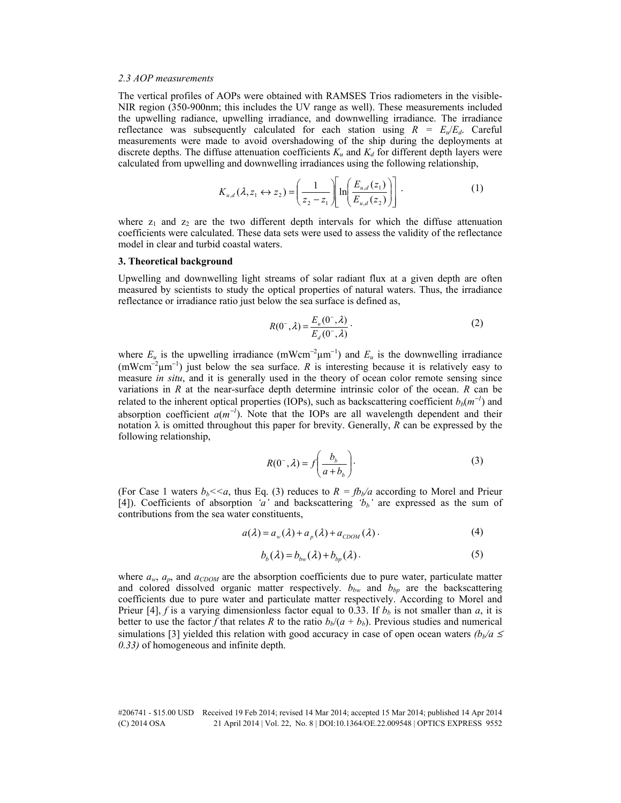#### *2.3 AOP measurements*

The vertical profiles of AOPs were obtained with RAMSES Trios radiometers in the visible-NIR region (350-900nm; this includes the UV range as well). These measurements included the upwelling radiance, upwelling irradiance, and downwelling irradiance. The irradiance reflectance was subsequently calculated for each station using  $R = E_u/E_d$ . Careful measurements were made to avoid overshadowing of the ship during the deployments at discrete depths. The diffuse attenuation coefficients  $K_u$  and  $K_d$  for different depth layers were calculated from upwelling and downwelling irradiances using the following relationship,

$$
K_{u,d}(\lambda, z_1 \leftrightarrow z_2) = \left(\frac{1}{z_2 - z_1}\right) \left[\ln\left(\frac{E_{u,d}(z_1)}{E_{u,d}(z_2)}\right)\right].
$$
 (1)

where  $z_1$  and  $z_2$  are the two different depth intervals for which the diffuse attenuation coefficients were calculated. These data sets were used to assess the validity of the reflectance model in clear and turbid coastal waters.

#### **3. Theoretical background**

Upwelling and downwelling light streams of solar radiant flux at a given depth are often measured by scientists to study the optical properties of natural waters. Thus, the irradiance reflectance or irradiance ratio just below the sea surface is defined as,

$$
R(0^{-}, \lambda) = \frac{E_u(0^{-}, \lambda)}{E_d(0^{-}, \lambda)}.
$$
 (2)

where  $E_u$  is the upwelling irradiance (mWcm<sup>-2</sup> $\mu$ m<sup>-1</sup>) and  $E_u$  is the downwelling irradiance  $(mWcm^{-2}\mu m^{-1})$  just below the sea surface. *R* is interesting because it is relatively easy to measure *in situ*, and it is generally used in the theory of ocean color remote sensing since variations in *R* at the near-surface depth determine intrinsic color of the ocean. *R* can be related to the inherent optical properties (IOPs), such as backscattering coefficient  $b_b(m^{-1})$  and absorption coefficient  $a(m^{-1})$ . Note that the IOPs are all wavelength dependent and their notation  $\lambda$  is omitted throughout this paper for brevity. Generally, R can be expressed by the following relationship,

$$
R(0^{-}, \lambda) = f\left(\frac{b_b}{a + b_b}\right).
$$
 (3)

(For Case 1 waters  $b_b \leq a$ , thus Eq. (3) reduces to  $R = fb_b/a$  according to Morel and Prieur [4]). Coefficients of absorption *'a'* and backscattering *'bb'* are expressed as the sum of contributions from the sea water constituents,

$$
a(\lambda) = a_w(\lambda) + a_p(\lambda) + a_{\text{CDOM}}(\lambda). \tag{4}
$$

$$
b_b(\lambda) = b_{bw}(\lambda) + b_{bp}(\lambda). \tag{5}
$$

where  $a_w$ ,  $a_p$ , and  $a_{CDOM}$  are the absorption coefficients due to pure water, particulate matter and colored dissolved organic matter respectively.  $b_{bw}$  and  $b_{bp}$  are the backscattering coefficients due to pure water and particulate matter respectively. According to Morel and Prieur [4],  $f$  is a varying dimensionless factor equal to 0.33. If  $b<sub>b</sub>$  is not smaller than  $a$ , it is better to use the factor *f* that relates *R* to the ratio  $b_b/(a + b_b)$ . Previous studies and numerical simulations [3] yielded this relation with good accuracy in case of open ocean waters  $(b<sub>b</sub>/a \leq$ *0.33)* of homogeneous and infinite depth.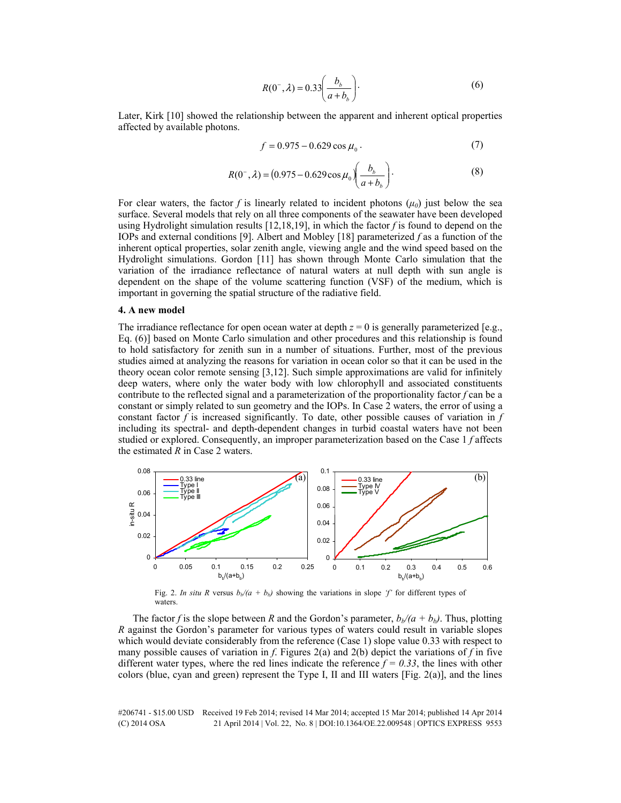$$
R(0^-, \lambda) = 0.33 \left(\frac{b_b}{a + b_b}\right). \tag{6}
$$

Later, Kirk [10] showed the relationship between the apparent and inherent optical properties affected by available photons.

$$
f = 0.975 - 0.629 \cos \mu_{0}.
$$
 (7)

$$
R(0^{-}, \lambda) = (0.975 - 0.629 \cos \mu_0) \left( \frac{b_b}{a + b_b} \right).
$$
 (8)

For clear waters, the factor *f* is linearly related to incident photons  $(\mu_0)$  just below the sea surface. Several models that rely on all three components of the seawater have been developed using Hydrolight simulation results [12,18,19], in which the factor *f* is found to depend on the IOPs and external conditions [9]. Albert and Mobley [18] parameterized *f* as a function of the inherent optical properties, solar zenith angle, viewing angle and the wind speed based on the Hydrolight simulations. Gordon [11] has shown through Monte Carlo simulation that the variation of the irradiance reflectance of natural waters at null depth with sun angle is dependent on the shape of the volume scattering function (VSF) of the medium, which is important in governing the spatial structure of the radiative field.

#### **4. A new model**

The irradiance reflectance for open ocean water at depth  $z = 0$  is generally parameterized [e.g., Eq. (6)] based on Monte Carlo simulation and other procedures and this relationship is found to hold satisfactory for zenith sun in a number of situations. Further, most of the previous studies aimed at analyzing the reasons for variation in ocean color so that it can be used in the theory ocean color remote sensing [3,12]. Such simple approximations are valid for infinitely deep waters, where only the water body with low chlorophyll and associated constituents contribute to the reflected signal and a parameterization of the proportionality factor *f* can be a constant or simply related to sun geometry and the IOPs. In Case 2 waters, the error of using a constant factor *f* is increased significantly. To date, other possible causes of variation in *f* including its spectral- and depth-dependent changes in turbid coastal waters have not been studied or explored. Consequently, an improper parameterization based on the Case 1 *f* affects the estimated *R* in Case 2 waters.



Fig. 2. *In situ R* versus  $b_b/(a + b_b)$  showing the variations in slope  $f'$  for different types of waters.

The factor *f* is the slope between *R* and the Gordon's parameter,  $b_b/(a + b_b)$ . Thus, plotting *R* against the Gordon's parameter for various types of waters could result in variable slopes which would deviate considerably from the reference (Case 1) slope value 0.33 with respect to many possible causes of variation in  $f$ . Figures 2(a) and 2(b) depict the variations of  $f$  in five different water types, where the red lines indicate the reference  $f = 0.33$ , the lines with other colors (blue, cyan and green) represent the Type I, II and III waters [Fig. 2(a)], and the lines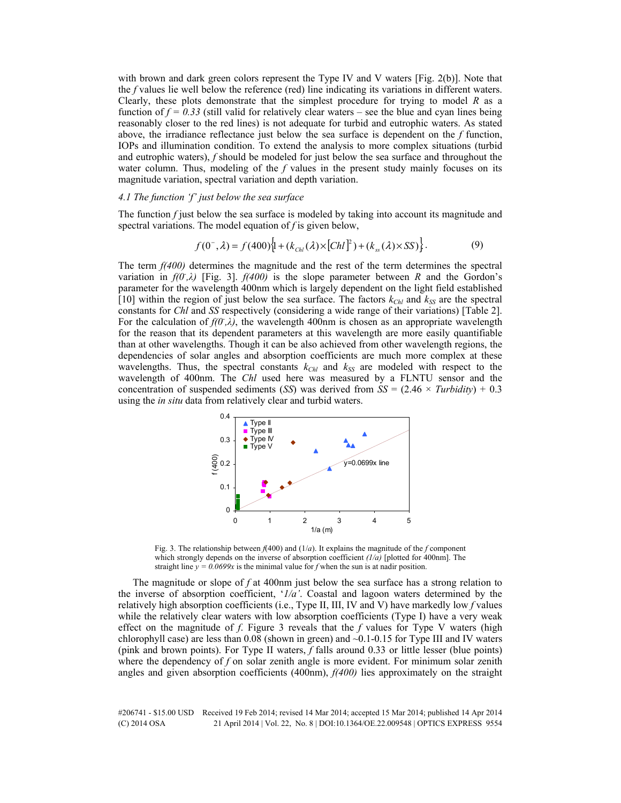with brown and dark green colors represent the Type IV and V waters [Fig. 2(b)]. Note that the *f* values lie well below the reference (red) line indicating its variations in different waters. Clearly, these plots demonstrate that the simplest procedure for trying to model *R* as a function of  $f = 0.33$  (still valid for relatively clear waters – see the blue and cyan lines being reasonably closer to the red lines) is not adequate for turbid and eutrophic waters. As stated above, the irradiance reflectance just below the sea surface is dependent on the *f* function, IOPs and illumination condition. To extend the analysis to more complex situations (turbid and eutrophic waters), *f* should be modeled for just below the sea surface and throughout the water column. Thus, modeling of the *f* values in the present study mainly focuses on its magnitude variation, spectral variation and depth variation.

# *4.1 The function 'f' just below the sea surface*

The function *f* just below the sea surface is modeled by taking into account its magnitude and spectral variations. The model equation of *f* is given below,

$$
f(0^-, \lambda) = f(400)\left\{1 + (k_{\text{ChI}}(\lambda) \times [Chl]^2) + (k_{\text{ss}}(\lambda) \times SS)\right\}.
$$
 (9)

The term *f(400)* determines the magnitude and the rest of the term determines the spectral variation in  $f(0, \lambda)$  [Fig. 3].  $f(400)$  is the slope parameter between *R* and the Gordon's parameter for the wavelength 400nm which is largely dependent on the light field established [10] within the region of just below the sea surface. The factors  $k_{Chl}$  and  $k_{SS}$  are the spectral constants for *Chl* and *SS* respectively (considering a wide range of their variations) [Table 2]. For the calculation of  $f(0, \lambda)$ , the wavelength 400nm is chosen as an appropriate wavelength for the reason that its dependent parameters at this wavelength are more easily quantifiable than at other wavelengths. Though it can be also achieved from other wavelength regions, the dependencies of solar angles and absorption coefficients are much more complex at these wavelengths. Thus, the spectral constants  $k_{Chl}$  and  $k_{SS}$  are modeled with respect to the wavelength of 400nm. The *Chl* used here was measured by a FLNTU sensor and the concentration of suspended sediments (*SS*) was derived from *SS* = (2.46 × *Turbidity*) + 0.3 using the *in situ* data from relatively clear and turbid waters.



Fig. 3. The relationship between  $f(400)$  and  $(1/a)$ . It explains the magnitude of the *f* component which strongly depends on the inverse of absorption coefficient *(1/a)* [plotted for 400nm]. The straight line  $y = 0.0699x$  is the minimal value for *f* when the sun is at nadir position.

The magnitude or slope of *f* at 400nm just below the sea surface has a strong relation to the inverse of absorption coefficient, '*1/a'*. Coastal and lagoon waters determined by the relatively high absorption coefficients (i.e., Type II, III, IV and V) have markedly low *f* values while the relatively clear waters with low absorption coefficients (Type I) have a very weak effect on the magnitude of *f*. Figure 3 reveals that the *f* values for Type V waters (high chlorophyll case) are less than 0.08 (shown in green) and  $\sim$ 0.1-0.15 for Type III and IV waters (pink and brown points). For Type II waters, *f* falls around 0.33 or little lesser (blue points) where the dependency of f on solar zenith angle is more evident. For minimum solar zenith angles and given absorption coefficients (400nm), *f(400)* lies approximately on the straight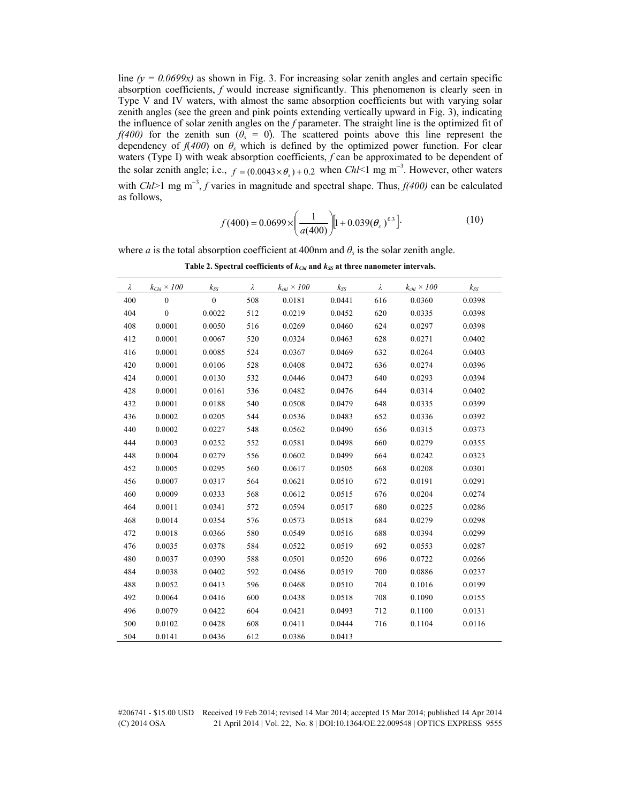line  $(y = 0.0699x)$  as shown in Fig. 3. For increasing solar zenith angles and certain specific absorption coefficients, *f* would increase significantly. This phenomenon is clearly seen in Type V and IV waters, with almost the same absorption coefficients but with varying solar zenith angles (see the green and pink points extending vertically upward in Fig. 3), indicating the influence of solar zenith angles on the *f* parameter. The straight line is the optimized fit of *f(400)* for the zenith sun ( $\theta_s = 0$ ). The scattered points above this line represent the dependency of *f*(*400*) on *θ<sup>s</sup>* which is defined by the optimized power function. For clear waters (Type I) with weak absorption coefficients, *f* can be approximated to be dependent of the solar zenith angle; i.e.,  $f = (0.0043 \times \theta_s) + 0.2$  when *Chl* ≤ 1 mg m<sup>-3</sup>. However, other waters with *Chl*>1 mg m<sup>−</sup><sup>3</sup> , *f* varies in magnitude and spectral shape. Thus, *f(400)* can be calculated as follows,

$$
f(400) = 0.0699 \times \left(\frac{1}{a(400)}\right) \left[1 + 0.039 (\theta_s)^{0.3}\right].
$$
 (10)

where *a* is the total absorption coefficient at 400nm and  $\theta_s$  is the solar zenith angle.

| λ   | $k_{Chl} \times 100$ | $k_{SS}$     | λ   | $k_{\text{chl}} \times 100$ | $k_{SS}$ | λ   | $k_{\text{chl}} \times 100$ | $k_{SS}$ |
|-----|----------------------|--------------|-----|-----------------------------|----------|-----|-----------------------------|----------|
| 400 | $\mathbf{0}$         | $\mathbf{0}$ | 508 | 0.0181                      | 0.0441   | 616 | 0.0360                      | 0.0398   |
| 404 | $\mathbf{0}$         | 0.0022       | 512 | 0.0219                      | 0.0452   | 620 | 0.0335                      | 0.0398   |
| 408 | 0.0001               | 0.0050       | 516 | 0.0269                      | 0.0460   | 624 | 0.0297                      | 0.0398   |
| 412 | 0.0001               | 0.0067       | 520 | 0.0324                      | 0.0463   | 628 | 0.0271                      | 0.0402   |
| 416 | 0.0001               | 0.0085       | 524 | 0.0367                      | 0.0469   | 632 | 0.0264                      | 0.0403   |
| 420 | 0.0001               | 0.0106       | 528 | 0.0408                      | 0.0472   | 636 | 0.0274                      | 0.0396   |
| 424 | 0.0001               | 0.0130       | 532 | 0.0446                      | 0.0473   | 640 | 0.0293                      | 0.0394   |
| 428 | 0.0001               | 0.0161       | 536 | 0.0482                      | 0.0476   | 644 | 0.0314                      | 0.0402   |
| 432 | 0.0001               | 0.0188       | 540 | 0.0508                      | 0.0479   | 648 | 0.0335                      | 0.0399   |
| 436 | 0.0002               | 0.0205       | 544 | 0.0536                      | 0.0483   | 652 | 0.0336                      | 0.0392   |
| 440 | 0.0002               | 0.0227       | 548 | 0.0562                      | 0.0490   | 656 | 0.0315                      | 0.0373   |
| 444 | 0.0003               | 0.0252       | 552 | 0.0581                      | 0.0498   | 660 | 0.0279                      | 0.0355   |
| 448 | 0.0004               | 0.0279       | 556 | 0.0602                      | 0.0499   | 664 | 0.0242                      | 0.0323   |
| 452 | 0.0005               | 0.0295       | 560 | 0.0617                      | 0.0505   | 668 | 0.0208                      | 0.0301   |
| 456 | 0.0007               | 0.0317       | 564 | 0.0621                      | 0.0510   | 672 | 0.0191                      | 0.0291   |
| 460 | 0.0009               | 0.0333       | 568 | 0.0612                      | 0.0515   | 676 | 0.0204                      | 0.0274   |
| 464 | 0.0011               | 0.0341       | 572 | 0.0594                      | 0.0517   | 680 | 0.0225                      | 0.0286   |
| 468 | 0.0014               | 0.0354       | 576 | 0.0573                      | 0.0518   | 684 | 0.0279                      | 0.0298   |
| 472 | 0.0018               | 0.0366       | 580 | 0.0549                      | 0.0516   | 688 | 0.0394                      | 0.0299   |
| 476 | 0.0035               | 0.0378       | 584 | 0.0522                      | 0.0519   | 692 | 0.0553                      | 0.0287   |
| 480 | 0.0037               | 0.0390       | 588 | 0.0501                      | 0.0520   | 696 | 0.0722                      | 0.0266   |
| 484 | 0.0038               | 0.0402       | 592 | 0.0486                      | 0.0519   | 700 | 0.0886                      | 0.0237   |
| 488 | 0.0052               | 0.0413       | 596 | 0.0468                      | 0.0510   | 704 | 0.1016                      | 0.0199   |
| 492 | 0.0064               | 0.0416       | 600 | 0.0438                      | 0.0518   | 708 | 0.1090                      | 0.0155   |
| 496 | 0.0079               | 0.0422       | 604 | 0.0421                      | 0.0493   | 712 | 0.1100                      | 0.0131   |
| 500 | 0.0102               | 0.0428       | 608 | 0.0411                      | 0.0444   | 716 | 0.1104                      | 0.0116   |
| 504 | 0.0141               | 0.0436       | 612 | 0.0386                      | 0.0413   |     |                             |          |

**Table 2. Spectral coefficients of** *kChl* **and** *kSS* **at three nanometer intervals.**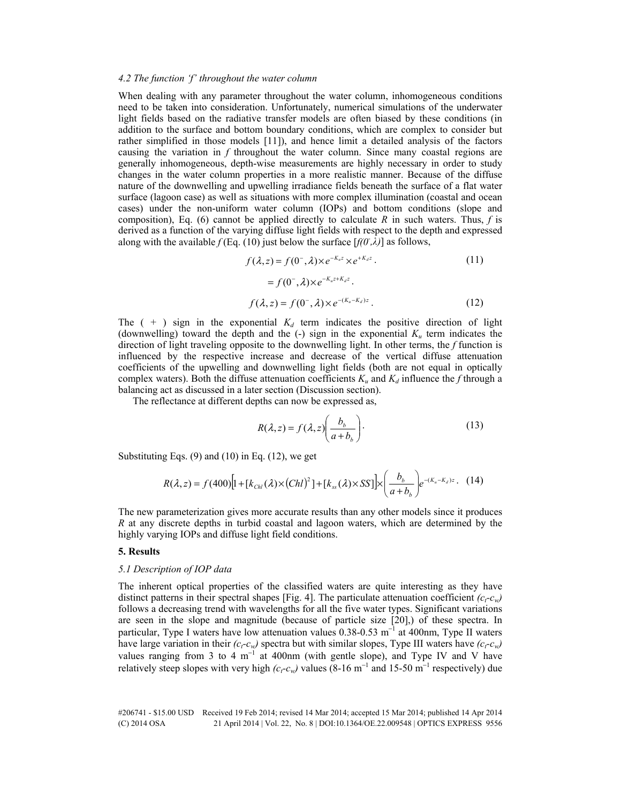#### *4.2 The function 'f' throughout the water column*

When dealing with any parameter throughout the water column, inhomogeneous conditions need to be taken into consideration. Unfortunately, numerical simulations of the underwater light fields based on the radiative transfer models are often biased by these conditions (in addition to the surface and bottom boundary conditions, which are complex to consider but rather simplified in those models [11]), and hence limit a detailed analysis of the factors causing the variation in *f* throughout the water column. Since many coastal regions are generally inhomogeneous, depth-wise measurements are highly necessary in order to study changes in the water column properties in a more realistic manner. Because of the diffuse nature of the downwelling and upwelling irradiance fields beneath the surface of a flat water surface (lagoon case) as well as situations with more complex illumination (coastal and ocean cases) under the non-uniform water column (IOPs) and bottom conditions (slope and composition), Eq. (6) cannot be applied directly to calculate *R* in such waters. Thus, *f* is derived as a function of the varying diffuse light fields with respect to the depth and expressed along with the available  $f$  (Eq. (10) just below the surface  $[f(\theta), \lambda]$  as follows,

$$
f(\lambda, z) = f(0^-, \lambda) \times e^{-K_u z} \times e^{+K_d z}.
$$
\n
$$
= f(0^-, \lambda) \times e^{-K_u z + K_d z}.
$$
\n
$$
f(\lambda, z) = f(0^-, \lambda) \times e^{-(K_u - K_d)z}.
$$
\n(12)

The  $( + )$  sign in the exponential  $K_d$  term indicates the positive direction of light (downwelling) toward the depth and the  $\left(\text{-}\right)$  sign in the exponential  $K_u$  term indicates the direction of light traveling opposite to the downwelling light. In other terms, the *f* function is influenced by the respective increase and decrease of the vertical diffuse attenuation coefficients of the upwelling and downwelling light fields (both are not equal in optically complex waters). Both the diffuse attenuation coefficients  $K_u$  and  $K_d$  influence the *f* through a balancing act as discussed in a later section (Discussion section).

The reflectance at different depths can now be expressed as,

$$
R(\lambda, z) = f(\lambda, z) \left( \frac{b_b}{a + b_b} \right). \tag{13}
$$

Substituting Eqs. (9) and (10) in Eq. (12), we get

$$
R(\lambda, z) = f(400) \Big[ 1 + [k_{\text{Ch}}(\lambda) \times (\text{Chl})^2] + [k_{\text{ss}}(\lambda) \times \text{SS}] \Big] \times \Bigg( \frac{b_b}{a + b_b} \Bigg) e^{-(K_u - K_d)z} \,. \tag{14}
$$

The new parameterization gives more accurate results than any other models since it produces *R* at any discrete depths in turbid coastal and lagoon waters, which are determined by the highly varying IOPs and diffuse light field conditions.

# **5. Results**

# *5.1 Description of IOP data*

The inherent optical properties of the classified waters are quite interesting as they have distinct patterns in their spectral shapes [Fig. 4]. The particulate attenuation coefficient  $(c_r c_w)$ follows a decreasing trend with wavelengths for all the five water types. Significant variations are seen in the slope and magnitude (because of particle size [20],) of these spectra. In particular, Type I waters have low attenuation values 0.38-0.53 m<sup>-1</sup> at 400nm, Type II waters have large variation in their  $(c_t c_w)$  spectra but with similar slopes, Type III waters have  $(c_t c_w)$ values ranging from 3 to 4 m<sup>-1</sup> at 400nm (with gentle slope), and Type IV and V have relatively steep slopes with very high  $(c_t \text{-} c_w)$  values (8-16 m<sup>-1</sup> and 15-50 m<sup>-1</sup> respectively) due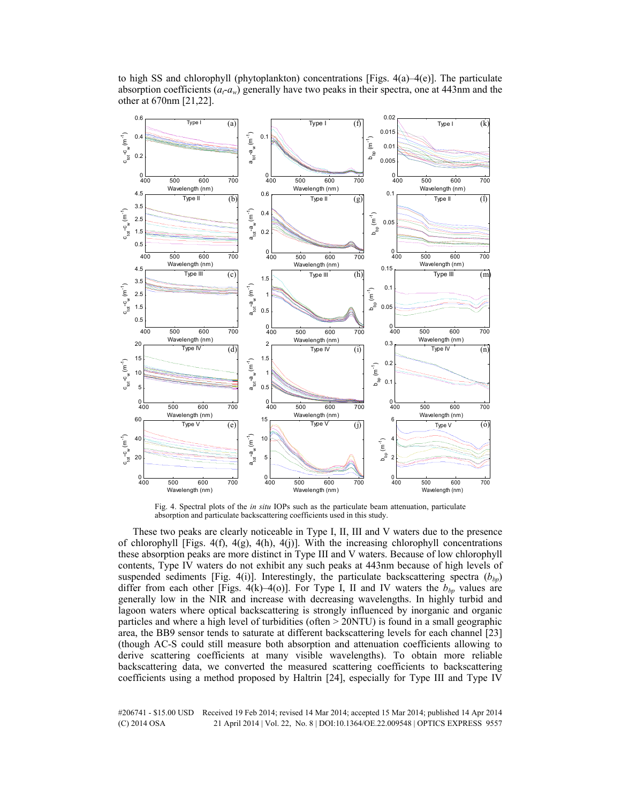

to high SS and chlorophyll (phytoplankton) concentrations [Figs. 4(a)–4(e)]. The particulate absorption coefficients  $(a<sub>r</sub>-a<sub>w</sub>)$  generally have two peaks in their spectra, one at 443nm and the other at 670nm [21,22].

Fig. 4. Spectral plots of the *in situ* IOPs such as the particulate beam attenuation, particulate absorption and particulate backscattering coefficients used in this study.

These two peaks are clearly noticeable in Type I, II, III and V waters due to the presence of chlorophyll [Figs.  $4(f)$ ,  $4(g)$ ,  $4(h)$ ,  $4(j)$ ]. With the increasing chlorophyll concentrations these absorption peaks are more distinct in Type III and V waters. Because of low chlorophyll contents, Type IV waters do not exhibit any such peaks at 443nm because of high levels of suspended sediments [Fig. 4(i)]. Interestingly, the particulate backscattering spectra (*bbp*) differ from each other [Figs.  $4(k)$ – $4(0)$ ]. For Type I, II and IV waters the  $b_{bp}$  values are generally low in the NIR and increase with decreasing wavelengths. In highly turbid and lagoon waters where optical backscattering is strongly influenced by inorganic and organic particles and where a high level of turbidities (often > 20NTU) is found in a small geographic area, the BB9 sensor tends to saturate at different backscattering levels for each channel [23] (though AC-S could still measure both absorption and attenuation coefficients allowing to derive scattering coefficients at many visible wavelengths). To obtain more reliable backscattering data, we converted the measured scattering coefficients to backscattering coefficients using a method proposed by Haltrin [24], especially for Type III and Type IV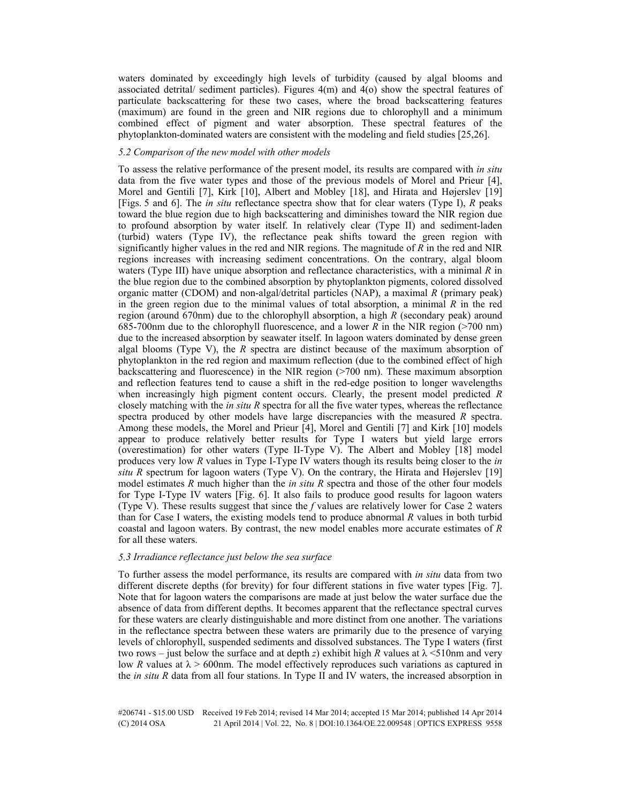waters dominated by exceedingly high levels of turbidity (caused by algal blooms and associated detrital/ sediment particles). Figures 4(m) and 4(o) show the spectral features of particulate backscattering for these two cases, where the broad backscattering features (maximum) are found in the green and NIR regions due to chlorophyll and a minimum combined effect of pigment and water absorption. These spectral features of the phytoplankton-dominated waters are consistent with the modeling and field studies [25,26].

### *5.2 Comparison of the new model with other models*

To assess the relative performance of the present model, its results are compared with *in situ* data from the five water types and those of the previous models of Morel and Prieur [4], Morel and Gentili [7], Kirk [10], Albert and Mobley [18], and Hirata and Højerslev [19] [Figs. 5 and 6]. The *in situ* reflectance spectra show that for clear waters (Type I), *R* peaks toward the blue region due to high backscattering and diminishes toward the NIR region due to profound absorption by water itself. In relatively clear (Type II) and sediment-laden (turbid) waters (Type IV), the reflectance peak shifts toward the green region with significantly higher values in the red and NIR regions. The magnitude of *R* in the red and NIR regions increases with increasing sediment concentrations. On the contrary, algal bloom waters (Type III) have unique absorption and reflectance characteristics, with a minimal *R* in the blue region due to the combined absorption by phytoplankton pigments, colored dissolved organic matter (CDOM) and non-algal/detrital particles (NAP), a maximal *R* (primary peak) in the green region due to the minimal values of total absorption, a minimal *R* in the red region (around 670nm) due to the chlorophyll absorption, a high *R* (secondary peak) around 685-700nm due to the chlorophyll fluorescence, and a lower *R* in the NIR region (>700 nm) due to the increased absorption by seawater itself. In lagoon waters dominated by dense green algal blooms (Type V), the *R* spectra are distinct because of the maximum absorption of phytoplankton in the red region and maximum reflection (due to the combined effect of high backscattering and fluorescence) in the NIR region (>700 nm). These maximum absorption and reflection features tend to cause a shift in the red-edge position to longer wavelengths when increasingly high pigment content occurs. Clearly, the present model predicted *R* closely matching with the *in situ R* spectra for all the five water types, whereas the reflectance spectra produced by other models have large discrepancies with the measured *R* spectra. Among these models, the Morel and Prieur [4], Morel and Gentili [7] and Kirk [10] models appear to produce relatively better results for Type I waters but yield large errors (overestimation) for other waters (Type II-Type V). The Albert and Mobley [18] model produces very low *R* values in Type I-Type IV waters though its results being closer to the *in situ R* spectrum for lagoon waters (Type V). On the contrary, the Hirata and Højerslev [19] model estimates *R* much higher than the *in situ R* spectra and those of the other four models for Type I-Type IV waters [Fig. 6]. It also fails to produce good results for lagoon waters (Type V). These results suggest that since the *f* values are relatively lower for Case 2 waters than for Case I waters, the existing models tend to produce abnormal *R* values in both turbid coastal and lagoon waters. By contrast, the new model enables more accurate estimates of *R* for all these waters.

# *5.3 Irradiance reflectance just below the sea surface*

To further assess the model performance, its results are compared with *in situ* data from two different discrete depths (for brevity) for four different stations in five water types [Fig. 7]. Note that for lagoon waters the comparisons are made at just below the water surface due the absence of data from different depths. It becomes apparent that the reflectance spectral curves for these waters are clearly distinguishable and more distinct from one another. The variations in the reflectance spectra between these waters are primarily due to the presence of varying levels of chlorophyll, suspended sediments and dissolved substances. The Type I waters (first two rows – just below the surface and at depth *z*) exhibit high *R* values at  $\lambda$  <510nm and very low *R* values at  $λ$  > 600nm. The model effectively reproduces such variations as captured in the *in situ R* data from all four stations. In Type II and IV waters, the increased absorption in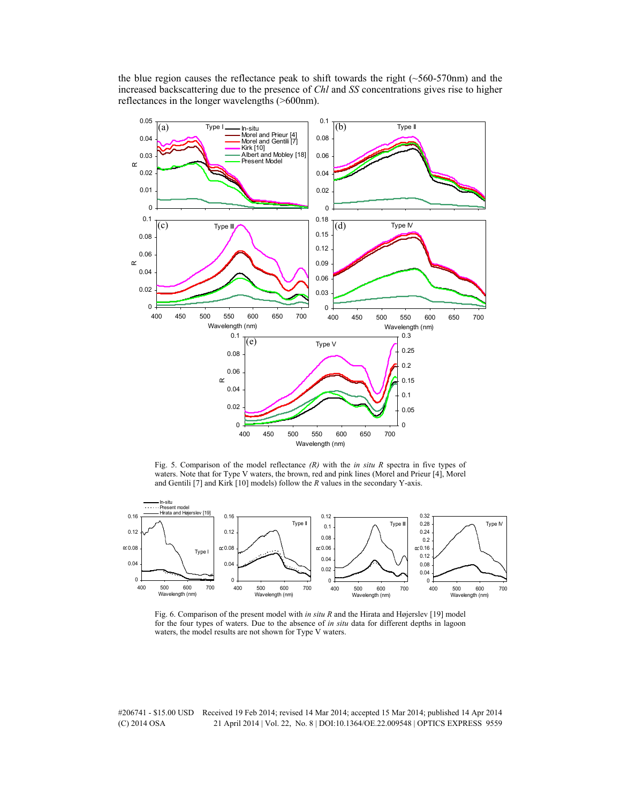the blue region causes the reflectance peak to shift towards the right  $(\sim 560-570$ nm) and the increased backscattering due to the presence of *Chl* and *SS* concentrations gives rise to higher reflectances in the longer wavelengths (>600nm).



Fig. 5. Comparison of the model reflectance *(R)* with the *in situ R* spectra in five types of waters. Note that for Type V waters, the brown, red and pink lines (Morel and Prieur [4], Morel and Gentili [7] and Kirk [10] models) follow the *R* values in the secondary Y-axis.



Fig. 6. Comparison of the present model with *in situ R* and the Hirata and Højerslev [19] model for the four types of waters. Due to the absence of *in situ* data for different depths in lagoon waters, the model results are not shown for Type V waters.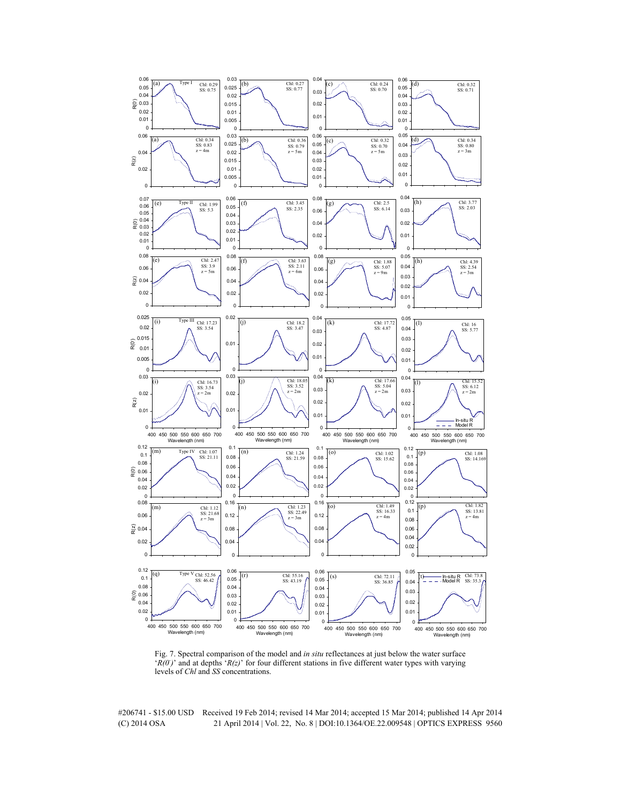

Fig. 7. Spectral comparison of the model and *in situ* reflectances at just below the water surface  $'R(\theta')'$  and at depths ' $R(z)$ ' for four different stations in five different water types with varying levels of *Chl* and *SS* concentrations.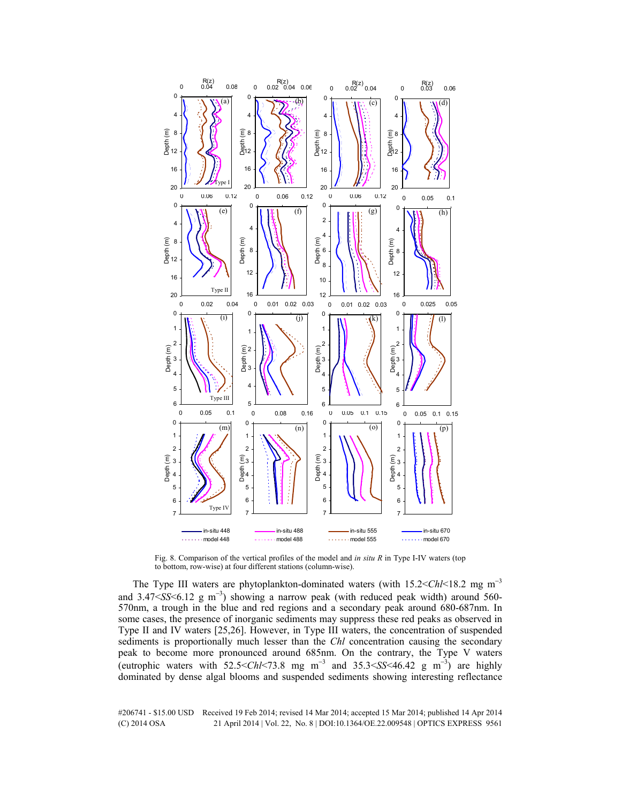

Fig. 8. Comparison of the vertical profiles of the model and *in situ R* in Type I-IV waters (top to bottom, row-wise) at four different stations (column-wise).

The Type III waters are phytoplankton-dominated waters (with 15.2<*Chl*<18.2 mg m<sup>−</sup><sup>3</sup> and 3.47<*SS* ≤6.12 g m<sup>-3</sup>) showing a narrow peak (with reduced peak width) around 560-570nm, a trough in the blue and red regions and a secondary peak around 680-687nm. In some cases, the presence of inorganic sediments may suppress these red peaks as observed in Type II and IV waters [25,26]. However, in Type III waters, the concentration of suspended sediments is proportionally much lesser than the *Chl* concentration causing the secondary peak to become more pronounced around 685nm. On the contrary, the Type V waters (eutrophic waters with  $52.5 \leq Chl \leq 73.8$  mg m<sup>-3</sup> and  $35.3 \leq S\leq 46.42$  g m<sup>-3</sup>) are highly dominated by dense algal blooms and suspended sediments showing interesting reflectance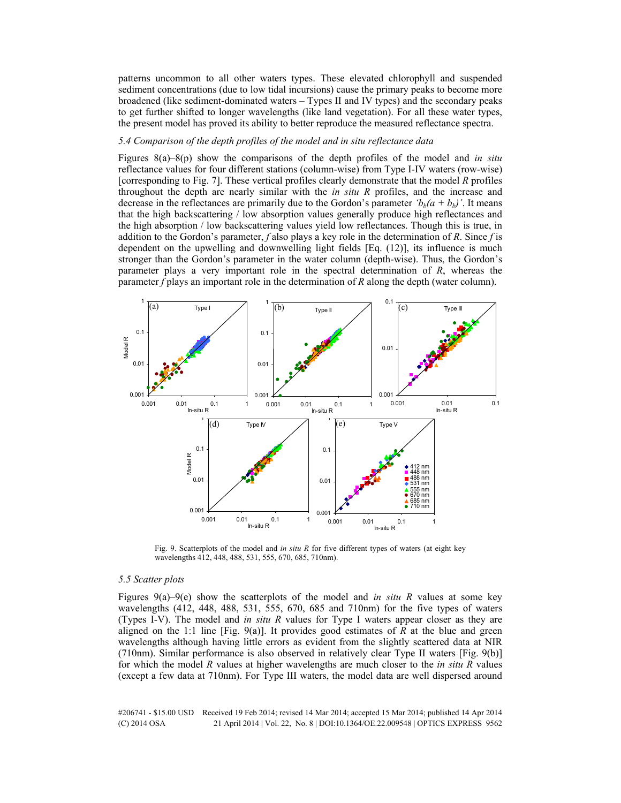patterns uncommon to all other waters types. These elevated chlorophyll and suspended sediment concentrations (due to low tidal incursions) cause the primary peaks to become more broadened (like sediment-dominated waters – Types II and IV types) and the secondary peaks to get further shifted to longer wavelengths (like land vegetation). For all these water types, the present model has proved its ability to better reproduce the measured reflectance spectra.

# *5.4 Comparison of the depth profiles of the model and in situ reflectance data*

Figures 8(a)–8(p) show the comparisons of the depth profiles of the model and *in situ* reflectance values for four different stations (column-wise) from Type I-IV waters (row-wise) [corresponding to Fig. 7]. These vertical profiles clearly demonstrate that the model *R* profiles throughout the depth are nearly similar with the *in situ R* profiles, and the increase and decrease in the reflectances are primarily due to the Gordon's parameter  $b_b(a + b_b)$ '. It means that the high backscattering / low absorption values generally produce high reflectances and the high absorption / low backscattering values yield low reflectances. Though this is true, in addition to the Gordon's parameter, *f* also plays a key role in the determination of *R*. Since *f* is dependent on the upwelling and downwelling light fields [Eq. (12)], its influence is much stronger than the Gordon's parameter in the water column (depth-wise). Thus, the Gordon's parameter plays a very important role in the spectral determination of *R*, whereas the parameter *f* plays an important role in the determination of *R* along the depth (water column).



Fig. 9. Scatterplots of the model and *in situ R* for five different types of waters (at eight key wavelengths 412, 448, 488, 531, 555, 670, 685, 710nm).

# *5.5 Scatter plots*

Figures 9(a)–9(e) show the scatterplots of the model and *in situ R* values at some key wavelengths (412, 448, 488, 531, 555, 670, 685 and 710nm) for the five types of waters (Types I-V). The model and *in situ R* values for Type I waters appear closer as they are aligned on the 1:1 line [Fig. 9(a)]. It provides good estimates of  $\overline{R}$  at the blue and green wavelengths although having little errors as evident from the slightly scattered data at NIR (710nm). Similar performance is also observed in relatively clear Type II waters [Fig. 9(b)] for which the model *R* values at higher wavelengths are much closer to the *in situ R* values (except a few data at 710nm). For Type III waters, the model data are well dispersed around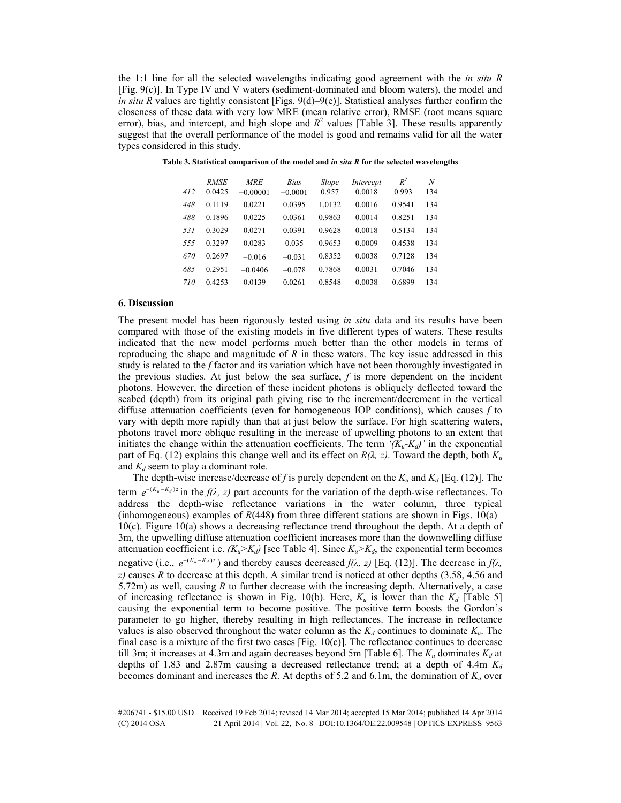the 1:1 line for all the selected wavelengths indicating good agreement with the *in situ R* [Fig. 9(c)]. In Type IV and V waters (sediment-dominated and bloom waters), the model and *in situ R* values are tightly consistent [Figs.  $9(d)$ – $9(e)$ ]. Statistical analyses further confirm the closeness of these data with very low MRE (mean relative error), RMSE (root means square error), bias, and intercept, and high slope and  $R^2$  values [Table 3]. These results apparently suggest that the overall performance of the model is good and remains valid for all the water types considered in this study.

|     | <b>RMSE</b> | <b>MRE</b> | <b>Bias</b> | Slope  | Intercept | $R^2$  | N   |
|-----|-------------|------------|-------------|--------|-----------|--------|-----|
| 412 | 0.0425      | $-0.00001$ | $-0.0001$   | 0.957  | 0.0018    | 0.993  | 134 |
| 448 | 0.1119      | 0.0221     | 0.0395      | 1.0132 | 0.0016    | 0.9541 | 134 |
| 488 | 0.1896      | 0.0225     | 0.0361      | 0.9863 | 0.0014    | 0.8251 | 134 |
| 531 | 0.3029      | 0.0271     | 0.0391      | 0.9628 | 0.0018    | 0.5134 | 134 |
| 555 | 0.3297      | 0.0283     | 0.035       | 0.9653 | 0.0009    | 0.4538 | 134 |
| 670 | 0.2697      | $-0.016$   | $-0.031$    | 0.8352 | 0.0038    | 0.7128 | 134 |
| 685 | 0.2951      | $-0.0406$  | $-0.078$    | 0.7868 | 0.0031    | 0.7046 | 134 |
| 710 | 0.4253      | 0.0139     | 0.0261      | 0.8548 | 0.0038    | 0.6899 | 134 |

**Table 3. Statistical comparison of the model and** *in situ R* **for the selected wavelengths** 

#### **6. Discussion**

The present model has been rigorously tested using *in situ* data and its results have been compared with those of the existing models in five different types of waters. These results indicated that the new model performs much better than the other models in terms of reproducing the shape and magnitude of *R* in these waters. The key issue addressed in this study is related to the *f* factor and its variation which have not been thoroughly investigated in the previous studies. At just below the sea surface, *f* is more dependent on the incident photons. However, the direction of these incident photons is obliquely deflected toward the seabed (depth) from its original path giving rise to the increment/decrement in the vertical diffuse attenuation coefficients (even for homogeneous IOP conditions), which causes *f* to vary with depth more rapidly than that at just below the surface. For high scattering waters, photons travel more oblique resulting in the increase of upwelling photons to an extent that initiates the change within the attenuation coefficients. The term  $(K_u - K_d)$  in the exponential part of Eq. (12) explains this change well and its effect on  $R(\lambda, z)$ . Toward the depth, both  $K_u$ and  $K_d$  seem to play a dominant role.

The depth-wise increase/decrease of *f* is purely dependent on the  $K_u$  and  $K_d$  [Eq. (12)]. The term  $e^{-(K_u - K_d)z}$  in the  $f(\lambda, z)$  part accounts for the variation of the depth-wise reflectances. To address the depth-wise reflectance variations in the water column, three typical (inhomogeneous) examples of  $R(448)$  from three different stations are shown in Figs. 10(a)– 10(c). Figure 10(a) shows a decreasing reflectance trend throughout the depth. At a depth of 3m, the upwelling diffuse attenuation coefficient increases more than the downwelling diffuse attenuation coefficient i.e.  $(K_u > K_d)$  [see Table 4]. Since  $K_u > K_d$ , the exponential term becomes negative (i.e.,  $e^{-(K_u - K_d)z}$ ) and thereby causes decreased  $f(\lambda, z)$  [Eq. (12)]. The decrease in  $f(\lambda, z)$ *z)* causes *R* to decrease at this depth. A similar trend is noticed at other depths (3.58, 4.56 and 5.72m) as well, causing *R* to further decrease with the increasing depth. Alternatively, a case of increasing reflectance is shown in Fig. 10(b). Here,  $K_u$  is lower than the  $K_d$  [Table 5] causing the exponential term to become positive. The positive term boosts the Gordon's parameter to go higher, thereby resulting in high reflectances. The increase in reflectance values is also observed throughout the water column as the  $K_d$  continues to dominate  $K_u$ . The final case is a mixture of the first two cases [Fig.  $10(c)$ ]. The reflectance continues to decrease till 3m; it increases at 4.3m and again decreases beyond 5m [Table 6]. The  $K_u$  dominates  $K_d$  at depths of 1.83 and 2.87m causing a decreased reflectance trend; at a depth of 4.4m *K<sup>d</sup>* becomes dominant and increases the *R*. At depths of 5.2 and 6.1m, the domination of  $K_u$  over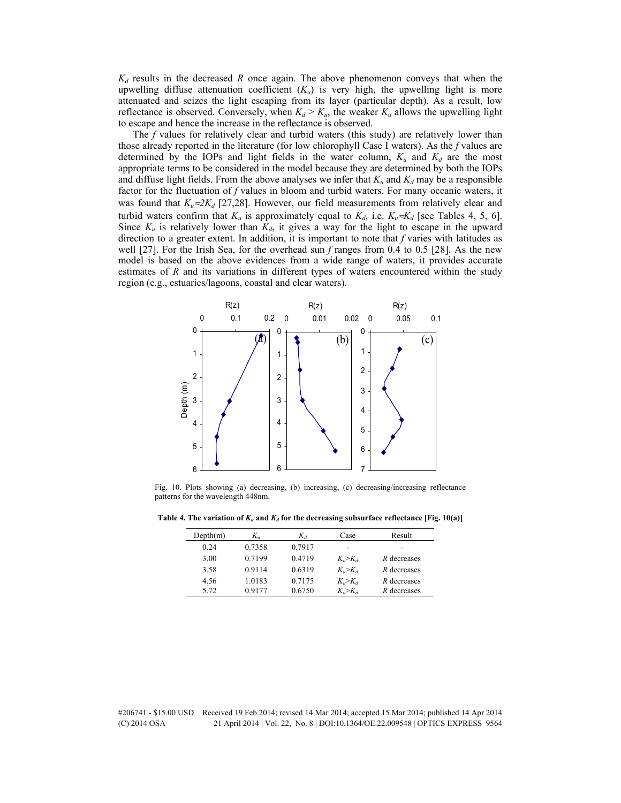$K_d$  results in the decreased *R* once again. The above phenomenon conveys that when the upwelling diffuse attenuation coefficient  $(K_u)$  is very high, the upwelling light is more attenuated and seizes the light escaping from its layer (particular depth). As a result, low reflectance is observed. Conversely, when  $K_d > K_u$ , the weaker  $K_u$  allows the upwelling light to escape and hence the increase in the reflectance is observed.

The *f* values for relatively clear and turbid waters (this study) are relatively lower than those already reported in the literature (for low chlorophyll Case I waters). As the *f* values are determined by the IOPs and light fields in the water column,  $K_u$  and  $K_d$  are the most appropriate terms to be considered in the model because they are determined by both the IOPs and diffuse light fields. From the above analyses we infer that  $K_u$  and  $K_d$  may be a responsible factor for the fluctuation of *f* values in bloom and turbid waters. For many oceanic waters, it was found that  $K_u \approx 2K_d$  [27,28]. However, our field measurements from relatively clear and turbid waters confirm that  $K_u$  is approximately equal to  $K_d$ , i.e.  $K_u \approx K_d$  [see Tables 4, 5, 6]. Since  $K_u$  is relatively lower than  $K_d$ , it gives a way for the light to escape in the upward direction to a greater extent. In addition, it is important to note that *f* varies with latitudes as well [27]. For the Irish Sea, for the overhead sun *f* ranges from 0.4 to 0.5 [28]. As the new model is based on the above evidences from a wide range of waters, it provides accurate estimates of *R* and its variations in different types of waters encountered within the study region (e.g., estuaries/lagoons, coastal and clear waters).



Fig. 10. Plots showing (a) decreasing, (b) increasing, (c) decreasing/increasing reflectance patterns for the wavelength 448nm.

Table 4. The variation of  $K_u$  and  $K_d$  for the decreasing subsurface reflectance [Fig. 10(a)]

| Depth(m) | $K_u$  | K.     | Case            | Result      |
|----------|--------|--------|-----------------|-------------|
| 0.24     | 0.7358 | 0.7917 | ٠               | -           |
| 3.00     | 0.7199 | 0.4719 | $K_{u} > K_{d}$ | R decreases |
| 3.58     | 0.9114 | 0.6319 | $K_{u} > K_{d}$ | R decreases |
| 4.56     | 1.0183 | 0.7175 | $K_v > K_d$     | R decreases |
| 5.72     | 09177  | 0.6750 | $K > K_d$       | R decreases |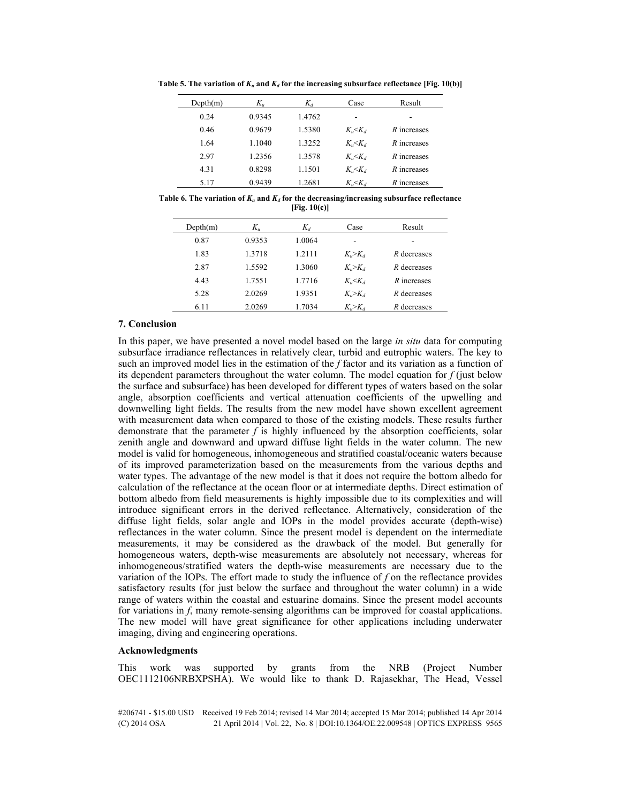| Depth(m) | $K_{u}$ | $K_d$  | Case              | Result        |
|----------|---------|--------|-------------------|---------------|
| 0.24     | 0.9345  | 1.4762 | ۰                 | -             |
| 0.46     | 0.9679  | 1.5380 | $K_u \leq K_d$    | $R$ increases |
| 1.64     | 1.1040  | 1.3252 | $K_u\!\!<\!\!K_d$ | $R$ increases |
| 2.97     | 1.2356  | 1.3578 | $K_u \leq K_d$    | $R$ increases |
| 4.31     | 0.8298  | 1.1501 | $K_u \leq K_d$    | $R$ increases |
| 5.17     | 0.9439  | 1.2681 | $K_u\!\!<\!\!K_d$ | R increases   |

**Table 5. The variation of**  $K_u$  **and**  $K_d$  **for the increasing subsurface reflectance [Fig. 10(b)]** 

Table 6. The variation of  $K_u$  and  $K_d$  for the decreasing/increasing subsurface reflectance **[Fig. 10(c)]** 

| Depth(m) | $K_u$  | $K_d$  | Case            | Result      |
|----------|--------|--------|-----------------|-------------|
| 0.87     | 0.9353 | 1.0064 | ۰               | -           |
| 1.83     | 1.3718 | 1.2111 | $K_{\nu} > K_d$ | R decreases |
| 2.87     | 1.5592 | 1.3060 | $K_{u} > K_{d}$ | R decreases |
| 4.43     | 1.7551 | 1.7716 | $K_u < K_d$     | R increases |
| 5.28     | 2.0269 | 1.9351 | $K_{u} > K_{d}$ | R decreases |
| 6.11     | 2.0269 | 1.7034 | $K_u > K_d$     | R decreases |

# **7. Conclusion**

In this paper, we have presented a novel model based on the large *in situ* data for computing subsurface irradiance reflectances in relatively clear, turbid and eutrophic waters. The key to such an improved model lies in the estimation of the *f* factor and its variation as a function of its dependent parameters throughout the water column. The model equation for *f* (just below the surface and subsurface) has been developed for different types of waters based on the solar angle, absorption coefficients and vertical attenuation coefficients of the upwelling and downwelling light fields. The results from the new model have shown excellent agreement with measurement data when compared to those of the existing models. These results further demonstrate that the parameter  $f$  is highly influenced by the absorption coefficients, solar zenith angle and downward and upward diffuse light fields in the water column. The new model is valid for homogeneous, inhomogeneous and stratified coastal/oceanic waters because of its improved parameterization based on the measurements from the various depths and water types. The advantage of the new model is that it does not require the bottom albedo for calculation of the reflectance at the ocean floor or at intermediate depths. Direct estimation of bottom albedo from field measurements is highly impossible due to its complexities and will introduce significant errors in the derived reflectance. Alternatively, consideration of the diffuse light fields, solar angle and IOPs in the model provides accurate (depth-wise) reflectances in the water column. Since the present model is dependent on the intermediate measurements, it may be considered as the drawback of the model. But generally for homogeneous waters, depth-wise measurements are absolutely not necessary, whereas for inhomogeneous/stratified waters the depth-wise measurements are necessary due to the variation of the IOPs. The effort made to study the influence of *f* on the reflectance provides satisfactory results (for just below the surface and throughout the water column) in a wide range of waters within the coastal and estuarine domains. Since the present model accounts for variations in *f*, many remote-sensing algorithms can be improved for coastal applications. The new model will have great significance for other applications including underwater imaging, diving and engineering operations.

#### **Acknowledgments**

This work was supported by grants from the NRB (Project Number OEC1112106NRBXPSHA). We would like to thank D. Rajasekhar, The Head, Vessel